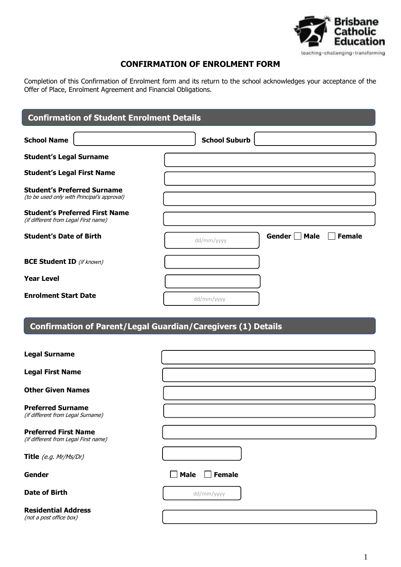

# **CONFIRMATION OF ENROLMENT FORM**

Completion of this Confirmation of Enrolment form and its return to the school acknowledges your acceptance of the Offer of Place, Enrolment Agreement and Financial Obligations.

| <b>Confirmation of Student Enrolment Details</b>                                  |                      |               |               |
|-----------------------------------------------------------------------------------|----------------------|---------------|---------------|
| <b>School Name</b>                                                                | <b>School Suburb</b> |               |               |
| <b>Student's Legal Surname</b>                                                    |                      |               |               |
| <b>Student's Legal First Name</b>                                                 |                      |               |               |
| <b>Student's Preferred Surname</b><br>(to be used only with Principal's approval) |                      |               |               |
| <b>Student's Preferred First Name</b><br>(if different from Legal First name)     |                      |               |               |
| <b>Student's Date of Birth</b>                                                    | dd/mm/yyyy           | Gender Π Male | <b>Female</b> |
| <b>BCE Student ID</b> (if known)                                                  |                      |               |               |
| <b>Year Level</b>                                                                 |                      |               |               |
| <b>Enrolment Start Date</b>                                                       | dd/mm/yyyy           |               |               |

# **Confirmation of Parent/Legal Guardian/Caregivers (1) Details**

| <b>Legal Surname</b>                                                |                              |
|---------------------------------------------------------------------|------------------------------|
| <b>Legal First Name</b>                                             |                              |
| <b>Other Given Names</b>                                            |                              |
| <b>Preferred Surname</b><br>(if different from Legal Surname)       |                              |
| <b>Preferred First Name</b><br>(if different from Legal First name) |                              |
| Title (e.g. Mr/Ms/Dr)                                               |                              |
| <b>Gender</b>                                                       | <b>Male</b><br><b>Female</b> |
| <b>Date of Birth</b>                                                | dd/mm/yyyy                   |
| <b>Residential Address</b><br>(not a post office box)               |                              |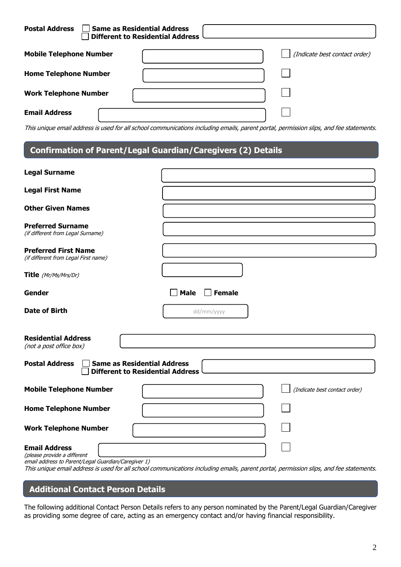| <b>Postal Address</b>          | $\sqcap$ Same as Residential Address<br><b>Different to Residential Address</b> |                               |
|--------------------------------|---------------------------------------------------------------------------------|-------------------------------|
| <b>Mobile Telephone Number</b> |                                                                                 | (Indicate best contact order) |
| <b>Home Telephone Number</b>   |                                                                                 |                               |
| <b>Work Telephone Number</b>   |                                                                                 |                               |
| <b>Email Address</b>           |                                                                                 |                               |

This unique email address is used for all school communications including emails, parent portal, permission slips, and fee statements.

# **Confirmation of Parent/Legal Guardian/Caregivers (2) Details**

**3.**

| <b>Legal Surname</b>                                                                                       |                                                                                                                                        |
|------------------------------------------------------------------------------------------------------------|----------------------------------------------------------------------------------------------------------------------------------------|
| <b>Legal First Name</b>                                                                                    |                                                                                                                                        |
| <b>Other Given Names</b>                                                                                   |                                                                                                                                        |
| <b>Preferred Surname</b><br>(if different from Legal Surname)                                              |                                                                                                                                        |
| <b>Preferred First Name</b><br>(if different from Legal First name)                                        |                                                                                                                                        |
| Title (Mr/Ms/Mrs/Dr)                                                                                       |                                                                                                                                        |
| Gender                                                                                                     | <b>Male</b><br><b>Female</b>                                                                                                           |
| <b>Date of Birth</b>                                                                                       | dd/mm/yyyy                                                                                                                             |
| <b>Residential Address</b><br>(not a post office box)                                                      |                                                                                                                                        |
| <b>Same as Residential Address</b><br><b>Postal Address</b><br><b>Different to Residential Address</b>     |                                                                                                                                        |
| <b>Mobile Telephone Number</b>                                                                             | (Indicate best contact order)                                                                                                          |
| <b>Home Telephone Number</b>                                                                               |                                                                                                                                        |
| <b>Work Telephone Number</b>                                                                               |                                                                                                                                        |
| <b>Email Address</b><br>(please provide a different<br>email address to Parent/Legal Guardian/Caregiver 1) | This unique email address is used for all school communications including emails, parent portal, permission slips, and fee statements. |

# **Additional Contact Person Details**

The following additional Contact Person Details refers to any person nominated by the Parent/Legal Guardian/Caregiver as providing some degree of care, acting as an emergency contact and/or having financial responsibility.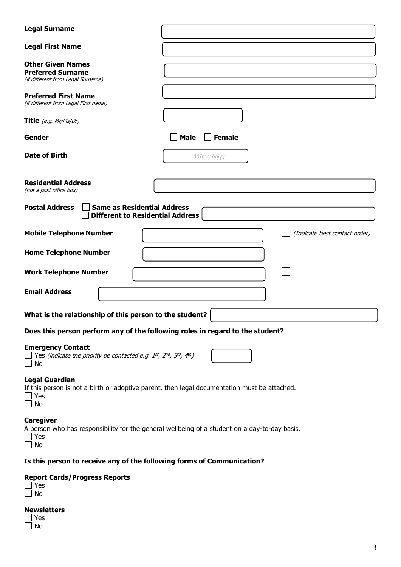| <b>Legal Surname</b>                                                                                                                 |                                                                                               |  |  |
|--------------------------------------------------------------------------------------------------------------------------------------|-----------------------------------------------------------------------------------------------|--|--|
| <b>Legal First Name</b>                                                                                                              |                                                                                               |  |  |
| <b>Other Given Names</b><br><b>Preferred Surname</b><br>(if different from Legal Surname)                                            |                                                                                               |  |  |
| <b>Preferred First Name</b><br>(if different from Legal First name)                                                                  |                                                                                               |  |  |
| Title $(e.g.$ Mr/Ms/Dr)                                                                                                              |                                                                                               |  |  |
| Gender                                                                                                                               | <b>Female</b><br><b>Male</b>                                                                  |  |  |
| <b>Date of Birth</b>                                                                                                                 | dd/mm/yyyy                                                                                    |  |  |
| <b>Residential Address</b><br>(not a post office box)                                                                                |                                                                                               |  |  |
| <b>Postal Address</b><br><b>Same as Residential Address</b><br><b>Different to Residential Address</b>                               |                                                                                               |  |  |
| <b>Mobile Telephone Number</b>                                                                                                       | (Indicate best contact order)                                                                 |  |  |
| <b>Home Telephone Number</b>                                                                                                         |                                                                                               |  |  |
| <b>Work Telephone Number</b>                                                                                                         |                                                                                               |  |  |
| <b>Email Address</b>                                                                                                                 |                                                                                               |  |  |
| What is the relationship of this person to the student?                                                                              |                                                                                               |  |  |
| Does this person perform any of the following roles in regard to the student?                                                        |                                                                                               |  |  |
| <b>Emergency Contact</b><br>$\Box$ Yes (indicate the priority be contacted e.g. 1st, 2nd, 3rd, 4th)<br>No                            |                                                                                               |  |  |
| <b>Legal Guardian</b><br>If this person is not a birth or adoptive parent, then legal documentation must be attached.<br>∫ Yes<br>No |                                                                                               |  |  |
| <b>Caregiver</b>                                                                                                                     | A person who has responsibility for the general wellbeing of a student on a day-to-day basis. |  |  |

Yes No

# **Is this person to receive any of the following forms of Communication?**

# **Report Cards/Progress Reports**<br>
I Yes<br>
I No

| r. |
|----|

#### **Newsletters**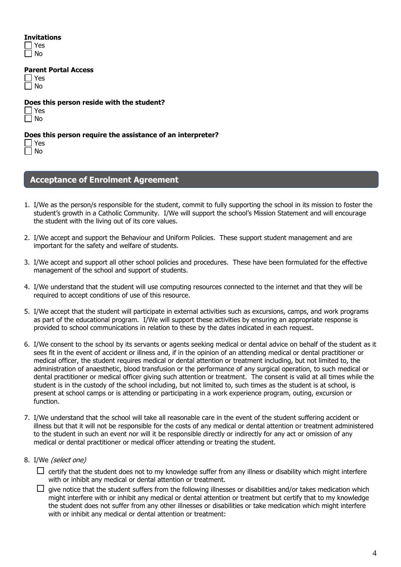#### **Invitations**

| 12 |
|----|
|    |

**Parent Portal Access**

**Does this person reside with the student?**

| ╾ |
|---|
| n |

#### **Does this person require the assistance of an interpreter?**

Yes No

# **Acceptance of Enrolment Agreement**

- 1. I/We as the person/s responsible for the student, commit to fully supporting the school in its mission to foster the student's growth in a Catholic Community. I/We will support the school's Mission Statement and will encourage the student with the living out of its core values.
- 2. I/We accept and support the Behaviour and Uniform Policies. These support student management and are important for the safety and welfare of students.
- 3. I/We accept and support all other school policies and procedures. These have been formulated for the effective management of the school and support of students.
- 4. I/We understand that the student will use computing resources connected to the internet and that they will be required to accept conditions of use of this resource.
- 5. I/We accept that the student will participate in external activities such as excursions, camps, and work programs as part of the educational program. I/We will support these activities by ensuring an appropriate response is provided to school communications in relation to these by the dates indicated in each request.
- 6. I/We consent to the school by its servants or agents seeking medical or dental advice on behalf of the student as it sees fit in the event of accident or illness and, if in the opinion of an attending medical or dental practitioner or medical officer, the student requires medical or dental attention or treatment including, but not limited to, the administration of anaesthetic, blood transfusion or the performance of any surgical operation, to such medical or dental practitioner or medical officer giving such attention or treatment. The consent is valid at all times while the student is in the custody of the school including, but not limited to, such times as the student is at school, is present at school camps or is attending or participating in a work experience program, outing, excursion or function.
- 7. I/We understand that the school will take all reasonable care in the event of the student suffering accident or illness but that it will not be responsible for the costs of any medical or dental attention or treatment administered to the student in such an event nor will it be responsible directly or indirectly for any act or omission of any medical or dental practitioner or medical officer attending or treating the student.
- 8. I/We (select one)

 $\Box$  certify that the student does not to my knowledge suffer from any illness or disability which might interfere with or inhibit any medical or dental attention or treatment.

 $\Box$  give notice that the student suffers from the following illnesses or disabilities and/or takes medication which might interfere with or inhibit any medical or dental attention or treatment but certify that to my knowledge the student does not suffer from any other illnesses or disabilities or take medication which might interfere with or inhibit any medical or dental attention or treatment: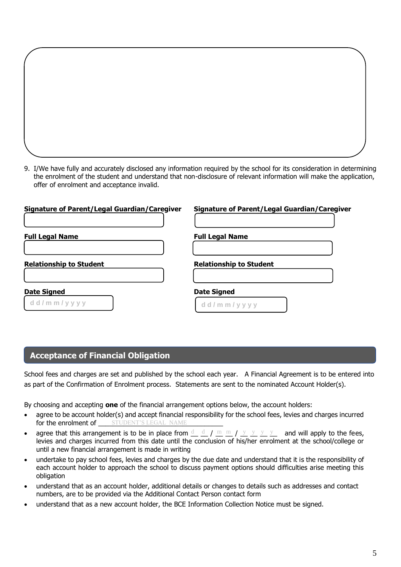9. I/We have fully and accurately disclosed any information required by the school for its consideration in determining the enrolment of the student and understand that non-disclosure of relevant information will make the application, offer of enrolment and acceptance invalid.

| <b>Signature of Parent/Legal Guardian/Caregiver</b> | <b>Signature of Parent/Legal Guardian/Caregiver</b> |
|-----------------------------------------------------|-----------------------------------------------------|
| <b>Full Legal Name</b>                              | <b>Full Legal Name</b>                              |
| <b>Relationship to Student</b>                      | <b>Relationship to Student</b>                      |
| <b>Date Signed</b><br>$d$ d / m m / y y y y         | <b>Date Signed</b><br>$d$ d / m m / y y y y         |

# **Acceptance of Financial Obligation**

School fees and charges are set and published by the school each year. A Financial Agreement is to be entered into as part of the Confirmation of Enrolment process. Statements are sent to the nominated Account Holder(s).

By choosing and accepting **one** of the financial arrangement options below, the account holders:

- agree to be account holder(s) and accept financial responsibility for the school fees, levies and charges incurred for the enrolment of \_\_\_\_\_\_\_\_\_\_\_\_\_\_\_\_\_\_\_\_\_\_\_\_\_\_\_\_\_\_\_\_\_\_ STUDENT'S LEGAL NAME
- agree that this arrangement is to be in place from  $\frac{d}{dx}$  /  $\frac{m}{dx}$  m  $\frac{m}{y}$  /  $\frac{y}{y}$   $\frac{y}{y}$  and will apply to the fees, levies and charges incurred from this date until the conclusion of his/her enrolment at the school/college or until a new financial arrangement is made in writing
- undertake to pay school fees, levies and charges by the due date and understand that it is the responsibility of each account holder to approach the school to discuss payment options should difficulties arise meeting this obligation
- understand that as an account holder, additional details or changes to details such as addresses and contact numbers, are to be provided via the Additional Contact Person contact form
- understand that as a new account holder, the BCE Information Collection Notice must be signed.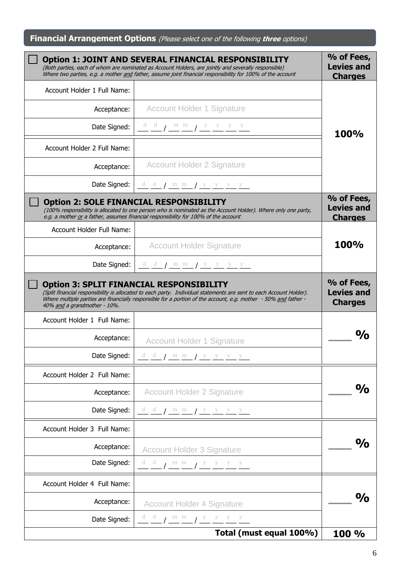**Financial Arrangement Options** (Please select one of the following **three** options)

|                                  | <b>Option 1: JOINT AND SEVERAL FINANCIAL RESPONSIBILITY</b><br>(Both parties, each of whom are nominated as Account Holders, are jointly and severally responsible)<br>Where two parties, e.g. a mother and father, assume joint financial responsibility for 100% of the account                                                         | % of Fees,<br><b>Levies and</b><br><b>Charges</b> |
|----------------------------------|-------------------------------------------------------------------------------------------------------------------------------------------------------------------------------------------------------------------------------------------------------------------------------------------------------------------------------------------|---------------------------------------------------|
| Account Holder 1 Full Name:      |                                                                                                                                                                                                                                                                                                                                           |                                                   |
| Acceptance:                      | <b>Account Holder 1 Signature</b>                                                                                                                                                                                                                                                                                                         |                                                   |
| Date Signed:                     | $\underbrace{d}{d}$                                                                                                                                                                                                                                                                                                                       | <b>100%</b>                                       |
| Account Holder 2 Full Name:      |                                                                                                                                                                                                                                                                                                                                           |                                                   |
| Acceptance:                      | <b>Account Holder 2 Signature</b>                                                                                                                                                                                                                                                                                                         |                                                   |
|                                  | Date Signed: $\underline{d}$ $\underline{d}$ / $\underline{m}$ $\underline{m}$ / $\underline{y}$ $\underline{y}$ $\underline{y}$ $\underline{y}$                                                                                                                                                                                          |                                                   |
|                                  | <b>Option 2: SOLE FINANCIAL RESPONSIBILITY</b><br>(100% responsibility is allocated to one person who is nominated as the Account Holder). Where only one party,<br>e.g. a mother or a father, assumes financial responsibility for 100% of the account                                                                                   | % of Fees,<br><b>Levies and</b><br><b>Charges</b> |
| <b>Account Holder Full Name:</b> |                                                                                                                                                                                                                                                                                                                                           |                                                   |
| Acceptance:                      | <b>Account Holder Signature</b>                                                                                                                                                                                                                                                                                                           | 100%                                              |
|                                  | Date Signed: $\frac{d}{dx} \frac{d}{dx}$ / $\frac{m}{dx} \frac{m}{dx}$ / $\frac{y}{y} \frac{y}{y} \frac{y}{y}$                                                                                                                                                                                                                            |                                                   |
| 40% and a grandmother - 10%.     | <b>Option 3: SPLIT FINANCIAL RESPONSIBILITY</b><br>(Split financial responsibility is allocated to each party. Individual statements are sent to each Account Holder).<br>Where multiple parties are financially responsible for a portion of the account, e.g. mother - 50% and father -                                                 | % of Fees,<br><b>Levies and</b><br><b>Charges</b> |
| Account Holder 1 Full Name:      |                                                                                                                                                                                                                                                                                                                                           |                                                   |
| Acceptance:                      | <b>Account Holder 1 Signature</b>                                                                                                                                                                                                                                                                                                         | $\mathbf{O}/\mathbf{O}$                           |
| Date Signed:                     | dd $\int m m$ / $y y y$                                                                                                                                                                                                                                                                                                                   |                                                   |
| Account Holder 2 Full Name:      |                                                                                                                                                                                                                                                                                                                                           |                                                   |
| Acceptance:                      | <b>Account Holder 2 Signature</b>                                                                                                                                                                                                                                                                                                         | $\frac{1}{2}$                                     |
| Date Signed:                     | $\frac{d}{dx}$ $\frac{d}{dx}$ $\frac{d}{dx}$ $\frac{d}{dx}$ $\frac{d}{dx}$ $\frac{d}{dx}$ $\frac{d}{dx}$ $\frac{d}{dx}$ $\frac{d}{dx}$ $\frac{d}{dx}$ $\frac{d}{dx}$ $\frac{d}{dx}$ $\frac{d}{dx}$ $\frac{d}{dx}$ $\frac{d}{dx}$ $\frac{d}{dx}$ $\frac{d}{dx}$ $\frac{d}{dx}$ $\frac{d}{dx}$ $\frac{d}{dx}$ $\frac{d}{dx}$ $\frac{d}{dx}$ |                                                   |
| Account Holder 3 Full Name:      |                                                                                                                                                                                                                                                                                                                                           |                                                   |
| Acceptance:                      | <b>Account Holder 3 Signature</b>                                                                                                                                                                                                                                                                                                         | $\mathbf{O}/\mathbf{O}$                           |
| Date Signed:                     | $d$ d<br>$\frac{d}{dx}$ / $\frac{m}{dx}$ $\frac{m}{dx}$ / $\frac{y}{dx}$ $\frac{y}{dx}$ $\frac{y}{dx}$ $\frac{y}{dx}$                                                                                                                                                                                                                     |                                                   |
| Account Holder 4 Full Name:      |                                                                                                                                                                                                                                                                                                                                           |                                                   |
| Acceptance:                      | <b>Account Holder 4 Signature</b>                                                                                                                                                                                                                                                                                                         | $\mathbf{O} / \mathbf{O}$                         |
| Date Signed:                     | $\frac{d}{dx}$ $\frac{d}{dx}$ $\frac{m}{dx}$ $\frac{m}{dx}$ $\frac{y}{y}$ $\frac{y}{y}$ $\frac{y}{y}$                                                                                                                                                                                                                                     |                                                   |
|                                  | Total (must equal 100%)                                                                                                                                                                                                                                                                                                                   | 100 %                                             |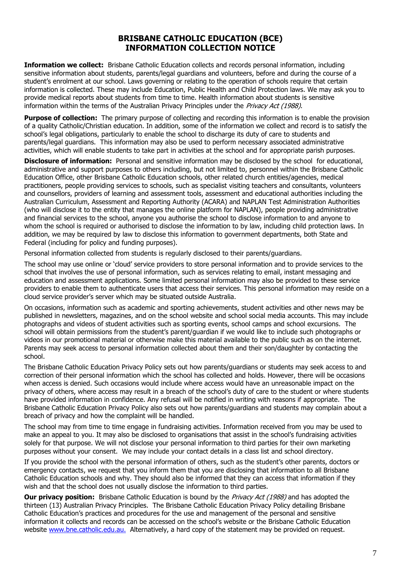#### **BRISBANE CATHOLIC EDUCATION (BCE) INFORMATION COLLECTION NOTICE**

**Information we collect:** Brisbane Catholic Education collects and records personal information, including sensitive information about students, parents/legal guardians and volunteers, before and during the course of a student's enrolment at our school. Laws governing or relating to the operation of schools require that certain information is collected. These may include Education, Public Health and Child Protection laws. We may ask you to provide medical reports about students from time to time. Health information about students is sensitive information within the terms of the Australian Privacy Principles under the *Privacy Act (1988)*.

**Purpose of collection:** The primary purpose of collecting and recording this information is to enable the provision of a quality Catholic/Christian education. In addition, some of the information we collect and record is to satisfy the school's legal obligations, particularly to enable the school to discharge its duty of care to students and parents/legal guardians. This information may also be used to perform necessary associated administrative activities, which will enable students to take part in activities at the school and for appropriate parish purposes.

**Disclosure of information:** Personal and sensitive information may be disclosed by the school for educational, administrative and support purposes to others including, but not limited to, personnel within the Brisbane Catholic Education Office, other Brisbane Catholic Education schools, other related church entities/agencies, medical practitioners, people providing services to schools, such as specialist visiting teachers and consultants, volunteers and counsellors, providers of learning and assessment tools, assessment and educational authorities including the Australian Curriculum, Assessment and Reporting Authority (ACARA) and NAPLAN Test Administration Authorities (who will disclose it to the entity that manages the online platform for NAPLAN), people providing administrative and financial services to the school, anyone you authorise the school to disclose information to and anyone to whom the school is required or authorised to disclose the information to by law, including child protection laws. In addition, we may be required by law to disclose this information to government departments, both State and Federal (including for policy and funding purposes).

Personal information collected from students is regularly disclosed to their parents/guardians.

The school may use online or 'cloud' service providers to store personal information and to provide services to the school that involves the use of personal information, such as services relating to email, instant messaging and education and assessment applications. Some limited personal information may also be provided to these service providers to enable them to authenticate users that access their services. This personal information may reside on a cloud service provider's server which may be situated outside Australia.

On occasions, information such as academic and sporting achievements, student activities and other news may be published in newsletters, magazines, and on the school website and school social media accounts. This may include photographs and videos of student activities such as sporting events, school camps and school excursions. The school will obtain permissions from the student's parent/guardian if we would like to include such photographs or videos in our promotional material or otherwise make this material available to the public such as on the internet. Parents may seek access to personal information collected about them and their son/daughter by contacting the school.

The Brisbane Catholic Education Privacy Policy sets out how parents/guardians or students may seek access to and correction of their personal information which the school has collected and holds. However, there will be occasions when access is denied. Such occasions would include where access would have an unreasonable impact on the privacy of others, where access may result in a breach of the school's duty of care to the student or where students have provided information in confidence. Any refusal will be notified in writing with reasons if appropriate. The Brisbane Catholic Education Privacy Policy also sets out how parents/guardians and students may complain about a breach of privacy and how the complaint will be handled.

The school may from time to time engage in fundraising activities. Information received from you may be used to make an appeal to you. It may also be disclosed to organisations that assist in the school's fundraising activities solely for that purpose. We will not disclose your personal information to third parties for their own marketing purposes without your consent. We may include your contact details in a class list and school directory.

If you provide the school with the personal information of others, such as the student's other parents, doctors or emergency contacts, we request that you inform them that you are disclosing that information to all Brisbane Catholic Education schools and why. They should also be informed that they can access that information if they wish and that the school does not usually disclose the information to third parties.

**Our privacy position:** Brisbane Catholic Education is bound by the *Privacy Act (1988)* and has adopted the thirteen (13) Australian Privacy Principles. The Brisbane Catholic Education Privacy Policy detailing Brisbane Catholic Education's practices and procedures for the use and management of the personal and sensitive information it collects and records can be accessed on the school's website or the Brisbane Catholic Education website [www.bne.catholic.edu.au.](http://www.bne.catholic.edu.au/) Alternatively, a hard copy of the statement may be provided on request.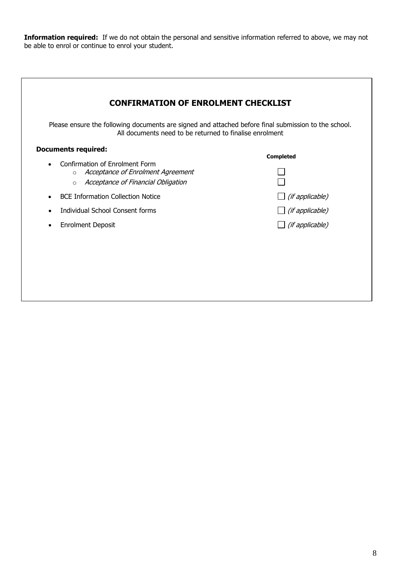**Information required:** If we do not obtain the personal and sensitive information referred to above, we may not be able to enrol or continue to enrol your student.

| Please ensure the following documents are signed and attached before final submission to the school.<br>All documents need to be returned to finalise enrolment |                        |
|-----------------------------------------------------------------------------------------------------------------------------------------------------------------|------------------------|
| <b>Documents required:</b>                                                                                                                                      | <b>Completed</b>       |
| Confirmation of Enrolment Form<br>$\bullet$<br>o Acceptance of Enrolment Agreement<br>Acceptance of Financial Obligation<br>$\circ$                             |                        |
| <b>BCE Information Collection Notice</b>                                                                                                                        | $\Box$ (if applicable) |
| Individual School Consent forms                                                                                                                                 | $\Box$ (if applicable) |
| <b>Enrolment Deposit</b><br>$\bullet$                                                                                                                           | $\Box$ (if applicable) |